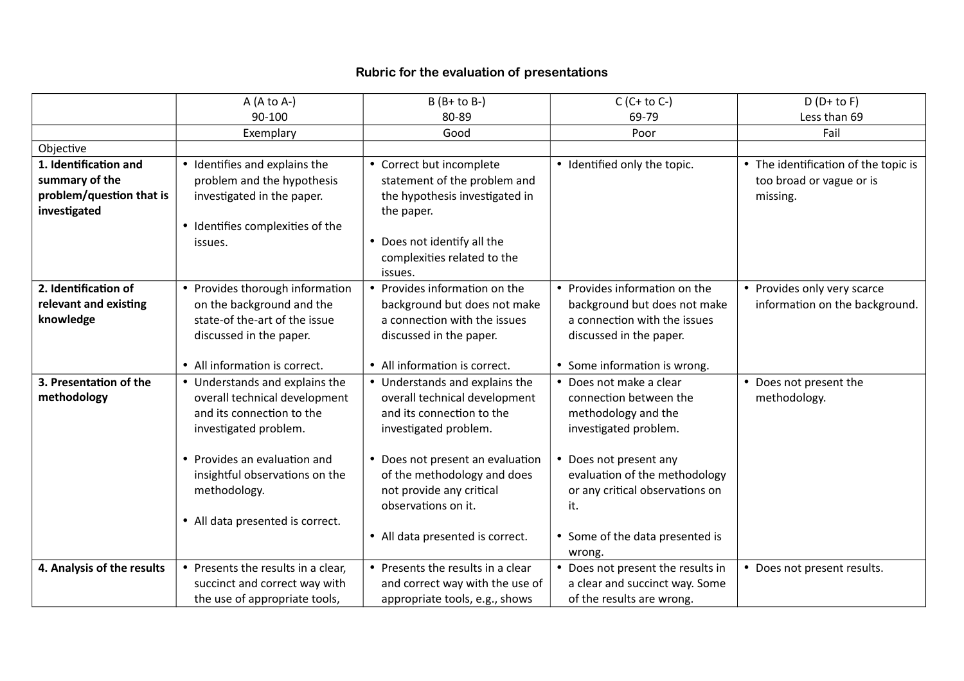## **Rubric for the evaluation of presentations**

|                            | $A (A to A-)$                      | $B(B+to B-)$                      | $C(C+to C-)$                      | $D(D+to F)$                          |
|----------------------------|------------------------------------|-----------------------------------|-----------------------------------|--------------------------------------|
|                            | 90-100                             | 80-89                             | 69-79                             | Less than 69                         |
|                            | Exemplary                          | Good                              | Poor                              | Fail                                 |
| Objective                  |                                    |                                   |                                   |                                      |
| 1. Identification and      | • Identifies and explains the      | • Correct but incomplete          | • Identified only the topic.      | • The identification of the topic is |
| summary of the             | problem and the hypothesis         | statement of the problem and      |                                   | too broad or vague or is             |
| problem/question that is   | investigated in the paper.         | the hypothesis investigated in    |                                   | missing.                             |
| investigated               |                                    | the paper.                        |                                   |                                      |
|                            | • Identifies complexities of the   |                                   |                                   |                                      |
|                            | issues.                            | Does not identify all the         |                                   |                                      |
|                            |                                    | complexities related to the       |                                   |                                      |
|                            |                                    | issues.                           |                                   |                                      |
| 2. Identification of       | • Provides thorough information    | • Provides information on the     | • Provides information on the     | • Provides only very scarce          |
| relevant and existing      | on the background and the          | background but does not make      | background but does not make      | information on the background.       |
| knowledge                  | state-of the-art of the issue      | a connection with the issues      | a connection with the issues      |                                      |
|                            | discussed in the paper.            | discussed in the paper.           | discussed in the paper.           |                                      |
|                            |                                    |                                   |                                   |                                      |
|                            | • All information is correct.      | • All information is correct.     | • Some information is wrong.      |                                      |
| 3. Presentation of the     | • Understands and explains the     | • Understands and explains the    | Does not make a clear             | • Does not present the               |
| methodology                | overall technical development      | overall technical development     | connection between the            | methodology.                         |
|                            | and its connection to the          | and its connection to the         | methodology and the               |                                      |
|                            | investigated problem.              | investigated problem.             | investigated problem.             |                                      |
|                            |                                    |                                   |                                   |                                      |
|                            | • Provides an evaluation and       | • Does not present an evaluation  | Does not present any              |                                      |
|                            | insightful observations on the     | of the methodology and does       | evaluation of the methodology     |                                      |
|                            | methodology.                       | not provide any critical          | or any critical observations on   |                                      |
|                            |                                    | observations on it.               | it.                               |                                      |
|                            | • All data presented is correct.   |                                   |                                   |                                      |
|                            |                                    | • All data presented is correct.  | • Some of the data presented is   |                                      |
|                            |                                    |                                   | wrong.                            |                                      |
| 4. Analysis of the results | • Presents the results in a clear, | • Presents the results in a clear | • Does not present the results in | • Does not present results.          |
|                            | succinct and correct way with      | and correct way with the use of   | a clear and succinct way. Some    |                                      |
|                            | the use of appropriate tools,      | appropriate tools, e.g., shows    | of the results are wrong.         |                                      |